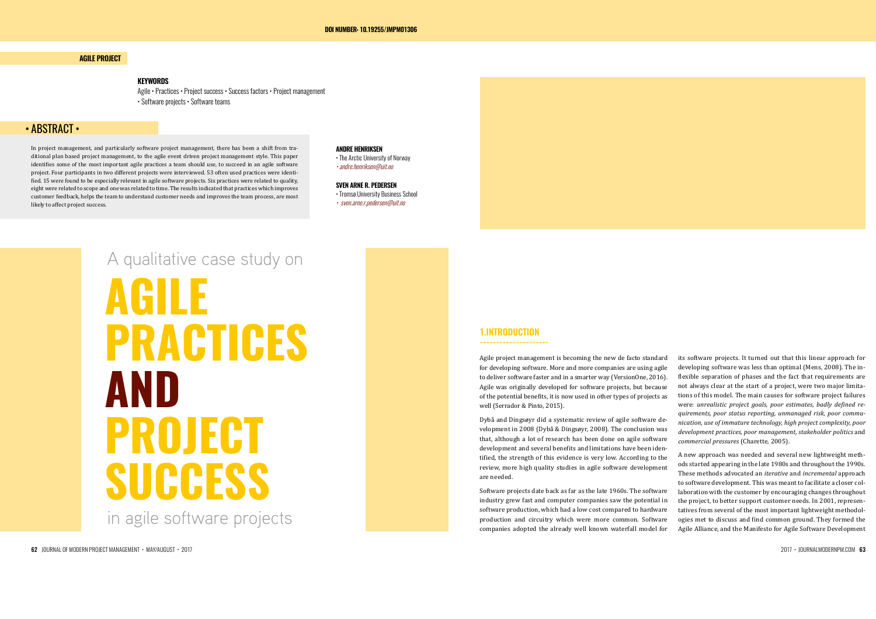### **AGILE PROJECT**

### • ABSTRACT •

### **KEYWORDS**

Agile • Practices • Project success • Success factors • Project management • Software projects • Software teams

In project management, and particularly software project management, there has been a shift from traditional plan based project management, to the agile event driven project management style. This paper identifies some of the most important agile practices a team should use, to succeed in an agile software project. Four participants in two different projects were interviewed. 53 often used practices were identified. 15 were found to be especially relevant in agile software projects. Six practices were related to quality, eight were related to scope and one was related to time. The results indicated that practices which improves customer feedback, helps the team to understand customer needs and improves the team process, are most likely to affect project success.

# **AGILE PRACTICES AND PROJECT SUCCESS** in agile software projects A qualitative case study on

**ANDRE HENRIKSEN** 

• The Arctic University of Norway • andre.henriksen@uit.no

### **SVEN ARNE R. PEDERSEN**

• Tromsø University Business School • sven.arne.r.pedersen@uit.no

### **1.INTRODUCTION**

**---------------------**

development and several benefits and limitations have been identified, the strength of this evidence is very low. According to the are needed.

Agile project management is becoming the new de facto standard for developing software. More and more companies are using agile to deliver software faster and in a smarter way (VersionOne, 2016). Agile was originally developed for software projects, but because of the potential benefits, it is now used in other types of projects as well (Serrador & Pinto, 2015). Dybå and Dingsøyr did a systematic review of agile software development in 2008 (Dybå & Dingsøyr, 2008). The conclusion was that, although a lot of research has been done on agile software its software projects. It turned out that this linear approach for developing software was less than optimal (Mens, 2008). The inflexible separation of phases and the fact that requirements are not always clear at the start of a project, were two major limitations of this model. The main causes for software project failures were: *unrealistic project goals, poor estimates, badly defined requirements, poor status reporting, unmanaged risk, poor communication, use of immature technology, high project complexity, poor development practices, poor management, stakeholder politics* and *commercial pressures* (Charette, 2005).

review, more high quality studies in agile software development Software projects date back as far as the late 1960s. The software industry grew fast and computer companies saw the potential in software production, which had a low cost compared to hardware production and circuitry which were more common. Software companies adopted the already well known waterfall model for A new approach was needed and several new lightweight methods started appearing in the late 1980s and throughout the 1990s. These methods advocated an *iterative* and *incremental* approach to software development. This was meant to facilitate a closer collaboration with the customer by encouraging changes throughout the project, to better support customer needs. In 2001, representatives from several of the most important lightweight methodologies met to discuss and find common ground. They formed the Agile Alliance, and the Manifesto for Agile Software Development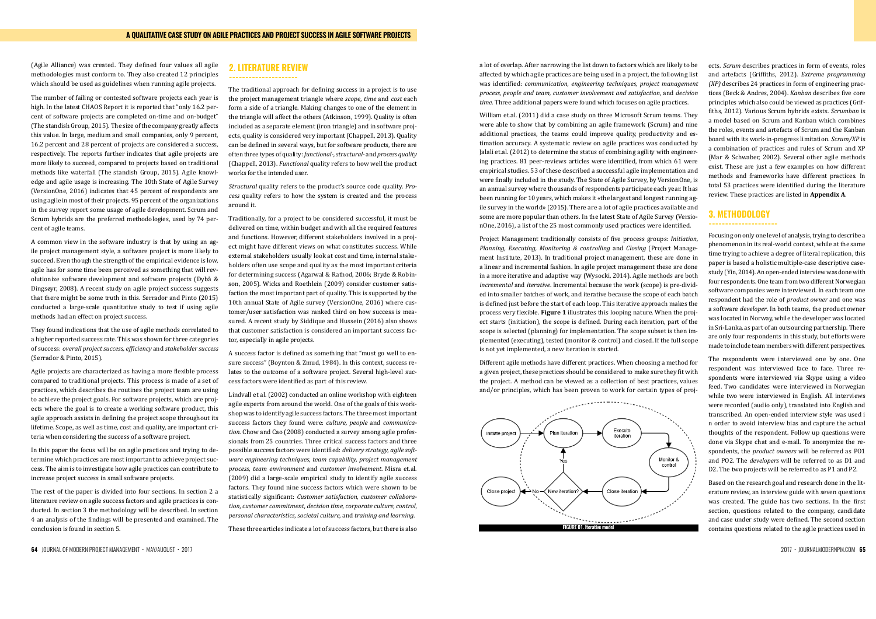(Agile Alliance) was created. They defined four values all agile methodologies must conform to. They also created 12 principles which should be used as guidelines when running agile projects.

The number of failing or contested software projects each year is high. In the latest CHAOS Report it is reported that "only 16.2 percent of software projects are completed on-time and on-budget" (The standish Group, 2015). The size of the company greatly affects this value. In large, medium and small companies, only 9 percent, 16.2 percent and 28 percent of projects are considered a success, respectively. The reports further indicates that agile projects are more likely to succeed, compared to projects based on traditional methods like waterfall (The standish Group, 2015). Agile knowledge and agile usage is increasing. The 10th State of Agile Survey (VersionOne, 2016) indicates that 45 percent of respondents are using agile in most of their projects. 95 percent of the organizations in the survey report some usage of agile development. Scrum and Scrum hybrids are the preferred methodologies, used by 74 percent of agile teams.

A common view in the software industry is that by using an agile project management style, a software project is more likely to succeed. Even though the strength of the empirical evidence is low, agile has for some time been perceived as something that will revolutionize software development and software projects (Dybå & Dingsøyr, 2008). A recent study on agile project success suggests that there might be some truth in this. Serrador and Pinto (2015) conducted a large-scale quantitative study to test if using agile methods had an effect on project success.

They found indications that the use of agile methods correlated to a higher reported success rate. This was shown for three categories of success: *overall project success, efficiency* and *stakeholder success*  (Serrador & Pinto, 2015).

Agile projects are characterized as having a more flexible process compared to traditional projects. This process is made of a set of practices, which describes the routines the project team are using to achieve the project goals. For software projects, which are projects where the goal is to create a working software product, this agile approach assists in defining the project scope throughout its lifetime. Scope, as well as time, cost and quality, are important criteria when considering the success of a software project.

In this paper the focus will be on agile practices and trying to determine which practices are most important to achieve project success. The aim is to investigate how agile practices can contribute to increase project success in small software projects.

The rest of the paper is divided into four sections. In section 2 a literature review on agile success factors and agile practices is conducted. In section 3 the methodology will be described. In section 4 an analysis of the findings will be presented and examined. The conclusion is found in section 5.

### **2. LITERATURE REVIEW**

#### **---------------------**

The traditional approach for defining success in a project is to use the project management triangle where *scope*, *time* and *cost* each form a side of a triangle. Making changes to one of the element in the triangle will affect the others (Atkinson, 1999). Quality is often included as a separate element (iron triangle) and in software projects, quality is considered very important (Chappell, 2013). Quality can be defined in several ways, but for software products, there are often three types of quality: *functional-, structural-* and *process quality*  (Chappell, 2013). *Functional* quality refers to how well the product works for the intended user.

> Project Management traditionally consists of five process groups: *Initiation, Planning, Executing, Monitoring & controlling* and *Closing* (Project Management Institute, 2013)*.* In traditional project management, these are done in a linear and incremental fashion. In agile project management these are done in a more iterative and adaptive way (Wysocki, 2014). Agile methods are both *incremental* and *iterative*. Incremental because the work (scope) is pre-divided into smaller batches of work, and iterative because the scope of each batch is defined just before the start of each loop. This iterative approach makes the process very flexible. Figure 1 illustrates this looping nature. When the project starts (initiation), the scope is defined. During each iteration, part of the scope is selected (planning) for implementation. The scope subset is then implemented (executing), tested (monitor & control) and closed. If the full scope is not yet implemented, a new iteration is started. Agile methods are both *incremental* and *iterative*. Incremental because the work (scope) is is not yet implemented, a new iteration is started.

> Different agile methods have different practices. When choosing a method for a given project, these practices should be considered to make sure they fit with the project. A method can be viewed as a collection of best practices, values and/or principles, which has been proven to work for certain types of proj- $\frac{1}{\sqrt{1-\frac{1}{\sqrt{1-\frac{1}{\sqrt{1-\frac{1}{\sqrt{1-\frac{1}{\sqrt{1-\frac{1}{\sqrt{1-\frac{1}{\sqrt{1-\frac{1}{\sqrt{1-\frac{1}{\sqrt{1-\frac{1}{\sqrt{1-\frac{1}{\sqrt{1-\frac{1}{\sqrt{1-\frac{1}{\sqrt{1-\frac{1}{\sqrt{1-\frac{1}{\sqrt{1-\frac{1}{\sqrt{1-\frac{1}{\sqrt{1-\frac{1}{\sqrt{1-\frac{1}{\sqrt{1-\frac{1}{\sqrt{1-\frac{1}{\sqrt{1-\frac{1}{\sqrt{1-\frac{1}{\sqrt{1-\frac{1}{\sqrt{1-\frac{1$ a given project, these practices should be considered to make sure they in with

*Structural* quality refers to the product's source code quality. *Process* quality refers to how the system is created and the process around it.

Traditionally, for a project to be considered successful, it must be delivered on time, within budget and with all the required features and functions. However, different stakeholders involved in a project might have different views on what constitutes success. While external stakeholders usually look at cost and time, internal stakeholders often use scope and quality as the most important criteria for determining success (Agarwal & Rathod, 2006; Bryde & Robinson, 2005). Wicks and Roethlein (2009) consider customer satisfaction the most important part of quality. This is supported by the 10th annual State of Agile survey (VersionOne, 2016) where customer/user satisfaction was ranked third on how success is measured. A recent study by Siddique and Hussein (2016) also shows that customer satisfaction is considered an important success factor, especially in agile projects.

A success factor is defined as something that "must go well to ensure success" (Boynton & Zmud, 1984). In this context, success relates to the outcome of a software project. Several high-level success factors were identified as part of this review.

Lindvall et al. (2002) conducted an online workshop with eighteen agile experts from around the world. One of the goals of this workshop was to identify agile success factors. The three most important success factors they found were: *culture, people* and *communication*. Chow and Cao (2008) conducted a survey among agile professionals from 25 countries. Three critical success factors and three possible success factors were identified: *delivery strategy, agile software engineering techniques, team capability, project management process, team environment* and *customer involvement*. Misra et.al. (2009) did a large-scale empirical study to identify agile success factors. They found nine success factors which were shown to be statistically significant: *Customer satisfaction, customer collaboration, customer commitment, decision time, corporate culture, control, personal characteristics, societal culture,* and *training and learning*.

These three articles indicate a lot of success factors, but there is also

a lot of overlap. After narrowing the list down to factors which are likely to be affected by which agile practices are being used in a project, the following list was identified: *communication, engineering techniques, project management process, people and team, customer involvement and satisfaction,* and *decision time*. Three additional papers were found which focuses on agile practices.

William et.al. (2011) did a case study on three Microsoft Scrum teams. They were able to show that by combining an agile framework (Scrum) and nine additional practices, the teams could improve quality, productivity and estimation accuracy. A systematic review on agile practices was conducted by Jalali et.al. (2012) to determine the status of combining agility with engineering practices. 81 peer-reviews articles were identified, from which 61 were empirical studies. 53 of these described a successful agile implementation and were finally included in the study. The State of Agile Survey, by VersionOne, is an annual survey where thousands of respondents participate each year. It has been running for 10 years, which makes it «the largest and longest running agile survey in the world» (2015). There are a lot of agile practices available and some are more popular than others. In the latest State of Agile Survey (VersionOne, 2016), a list of the 25 most commonly used practices were identified.

ects. *Scrum* describes practices in form of events, roles and artefacts (Griffiths, 2012). *Extreme programming (XP)* describes 24 practices in form of engineering practices (Beck & Andres, 2004). *Kanban* describes five core principles which also could be viewed as practices (Griffiths, 2012). Various Scrum hybrids exists. *Scrumban* is a model based on Scrum and Kanban which combines the roles, events and artefacts of Scrum and the Kanban board with its work-in-progress limitation. *Scrum/XP* is a combination of practices and rules of Scrum and XP (Mar & Schwaber, 2002). Several other agile methods exist. These are just a few examples on how different methods and frameworks have different practices. In total 53 practices were identified during the literature review. These practices are listed in **Appendix A**.

### **3. METHODOLOGY**

#### **---------------------**

Focusing on only one level of analysis, trying to describe a phenomenon in its real-world context, while at the same time trying to achieve a degree of literal replication, this paper is based a holistic multiple-case descriptive casestudy (Yin, 2014). An open-ended interview was done with four respondents. One team from two different Norwegian software companies were interviewed. In each team one respondent had the role of *product owner* and one was a software *developer*. In both teams, the product owner was located in Norway, while the developer was located in Sri-Lanka, as part of an outsourcing partnership. There are only four respondents in this study, but efforts were made to include team members with different perspectives.

The respondents were interviewed one by one. One respondent was interviewed face to face. Three respondents were interviewed via Skype using a video feed. Two candidates were interviewed in Norwegian while two were interviewed in English. All interviews were recorded (audio only), translated into English and transcribed. An open-ended interview style was used i n order to avoid interview bias and capture the actual thoughts of the respondent. Follow up questions were done via Skype chat and e-mail. To anonymize the respondents, the *product owners* will be referred as PO1 and PO2. The *developers* will be referred to as D1 and D2. The two projects will be referred to as P1 and P2.

Based on the research goal and research done in the literature review, an interview guide with seven questions was created. The guide has two sections. In the first section, questions related to the company, candidate and case under study were defined. The second section contains questions related to the agile practices used in



 $64$  JOURNAL OF MODERN PROJECT MANAGEMENT • MAY/AUGUST •  $2017$  • JOURNALMODERNPM.COM  $65$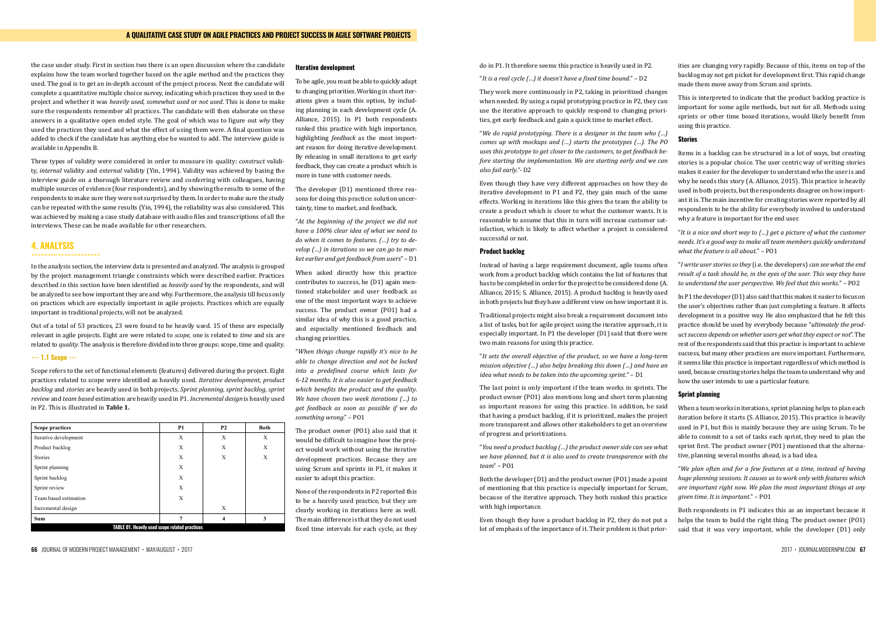the case under study. First in section two there is an open discussion where the candidate explains how the team worked together based on the agile method and the practices they used. The goal is to get an in-depth account of the project process. Next the candidate will complete a quantitative multiple choice survey, indicating which practices they used in the project and whether it was *heavily used*, *somewhat used* or *not used*. This is done to make sure the respondents remember all practices. The candidate will then elaborate on these answers in a qualitative open ended style. The goal of which was to figure out *why* they used the practices they used and what the effect of using them were. A final question was added to check if the candidate has anything else he wanted to add. The interview guide is available in Appendix B.

In the analysis section, the interview data is presented and analyzed. The analysis is grouped by the project management triangle constraints which were described earlier. Practices described in this section have been identified as *heavily used* by the respondents, and will be analyzed to see how important they are and why. Furthermore, the analysis till focus only on practices which are especially important in agile projects. Practices which are equally analyzed to see how in the seedhamp important in egal projects. Furthermore, then are appearing the seedhamp in program in additional projects, which be analyzed.

Out of a total of 53 practices, 23 were found to be heavily used.  $15$  of these are especially relevant in agile projects. Eight are were related to *scope*, one is related to *time* and six are related to *quality*. The analysis is therefore divided into three groups: scope, time and quality.

### *---* 1.1 Scope ---<br> $\frac{1}{2}$  and  $\frac{1}{2}$  and  $\frac{1}{2}$  and  $\frac{1}{2}$  and  $\frac{1}{2}$  and  $\frac{1}{2}$  and  $\frac{1}{2}$  and  $\frac{1}{2}$  and  $\frac{1}{2}$  and  $\frac{1}{2}$  and  $\frac{1}{2}$  and  $\frac{1}{2}$  and  $\frac{1}{2}$  and  $\frac{1}{2}$  and  $\frac{$

Scope refers to the set of functional elements (features) delivered during the project. Eight *3.1 Scope* practices related to scope were identified as heavily used. Iterative development, product backlog and *stories* are heavily used in both projects. Sprint planning, sprint backlog, sprint review and team based estimation are heavily used in P1. Incremental design is heavily used in P2. This is illustrated in **Table 1.** 

Three types of validity were considered in order to measure its quality: *construct* validity, *internal* validity and *external* validity (Yin, 1994). Validity was achieved by basing the interview guide on a thorough literature review and conferring with colleagues, having multiple sources of evidence (four respondents), and by showing the results to some of the respondents to make sure they were not surprised by them. In order to make sure the study can be repeated with the same results (Yin, 1994), the reliability was also considered. This was achieved by making a case study database with audio files and transcriptions of all the interviews. These can be made available for other researchers.

### **4. ANALYSIS**

### **---------------------**

### **Iterative development**

To be agile, you must be able to quickly adapt to changing priorities. Working in short iterations gives a team this option, by including planning in each development cycle (A. Alliance, 2015). In P1 both respondents ranked this practice with high importance, highlighting *feedback* as the most important reason for doing iterative development. By releasing in small iterations to get early feedback, they can create a product which is more in tune with customer needs.

The developer (D1) mentioned three reasons for doing this practice: solution uncertainty, time to market, and feedback.

"*At the beginning of the project we did not have a 100% clear idea of what we need to do when it comes to features. (…) try to develop (…) in iterations so we can go to market earlier and get feedback from users*" – D1

When asked directly how this practice contributes to success, he (D1) again mentioned stakeholder and user feedback as one of the most important ways to achieve success. The product owner (PO1) had a similar idea of why this is a good practice, and especially mentioned feedback and changing priorities.

"*When things change rapidly it's nice to be able to change direction and not be locked into a predefined course which lasts for 6-12 months. It is also easier to get feedback which benefits the product and the quality. We have chosen two week iterations (…) to get feedback as soon as possible if we do something wrong*." – PO1

The product owner (PO1) also said that it would be difficult to imagine how the project would work without using the iterative development practices. Because they are using Scrum and sprints in P1, it makes it easier to adopt this practice.

None of the respondents in P2 reported this to be a heavily used practice, but they are clearly working in iterations here as well. The main difference is that they do not used fixed time intervals for each cycle, as they do in P1. It therefore seems this practice is heavily used in P2.

"*It is a real cycle (…) it doesn't have a fixed time bound.*" – D2

in both projects but they have a different view on how important it is. Traditional projects might also break a requirement document into a list of tasks, but for agile project using the iterative approach, it is especially important. In P1 the developer (D1) said that there were two main reasons for using this practice. "*It sets the overall objective of the product, so we have a long-term mission objective (…) also helps breaking this down (…) and have an idea what needs to be taken into the upcoming sprint.*" – D1

They work more continuously in P2, taking in prioritized changes when needed. By using a rapid prototyping practice in P2, they can use the iterative approach to quickly respond to changing priorities, get early feedback and gain a quick time to market effect. This is interpreted to indicate that the product backlog practice is important for some agile methods, but not for all. Methods using sprints or other time boxed iterations, would likely benefit from using this practice.

"*We do rapid prototyping. There is a designer in the team who (…) comes up with mockups and (…) starts the prototypes (…). The PO uses this prototype to get closer to the customers, to get feedback before starting the implementation. We are starting early and we can also fail early."-* D2 Even though they have very different approaches on how they do iterative development in P1 and P2, they gain much of the same effects. Working in iterations like this gives the team the ability to create a product which is closer to what the customer wants. It is reasonable to assume that this in turn will increase customer sat-**Stories** used in both projects, but the respondents disagree on how importwhy a feature is important for the end user.

The last point is only important if the team works in sprints. The product owner (PO1) also mentions long and short term planning as important reasons for using this practice. In addition, he said that having a product backlog, if it is prioritized, makes the project more transparent and allows other stakeholders to get an overview of progress and prioritizations.

"*You need a product backlog (…) the product owner side can see what we have planned, but it is also used to create transparence with the team*" – PO1

isfaction, which is likely to affect whether a project is considered successful or not. **Product backlog** Items in a backlog can be structured in a lot of ways, but creating stories is a popular choice. The user centric way of writing stories makes it easier for the developer to understand who the user is and why he needs this story (A. Alliance, 2015). This practice is heavily ant it is. The main incentive for creating stories were reported by all respondents to be the ability for everybody involved to understand "*It is a nice and short way to (…) get a picture of what the customer needs. It's a good way to make all team members quickly understand what the feature is all about.*" – PO1

Instead of having a large requirement document, agile teams often work from a product backlog which contains the list of features that has to be completed in order for the project to be considered done (A. Alliance, 2015; S. Alliance, 2015). A product backlog is heavily used "*I write user stories so they* (i.e. the developers) *can see what the end result of a task should be, in the eyes of the user. This way they have to understand the user perspective. We feel that this works.*" – PO2

ities are changing very rapidly. Because of this, items on top of the backlog may not get picket for development first. This rapid change made them move away from Scrum and sprints.

Both the developer (D1) and the product owner (PO1) made a point of mentioning that this practice is especially important for Scrum, because of the iterative approach. They both ranked this practice with high importance. "*We plan often and for a few features at a time, instead of having huge planning sessions. It causes us to work only with features which are important right now. We plan the most important things at any given time. It is important.*" – PO1

Even though they have a product backlog in P2, they do not put a lot of emphasis of the importance of it. Their problem is that prior-Both respondents in P1 indicates this as an important because it helps the team to build the right thing. The product owner (PO1) said that it was very important, while the developer (D1) only

In P1 the developer (D1) also said that this makes it easier to focus on the user's objectives rather than just completing a feature. It affects development in a positive way. He also emphasized that he felt this practice should be used by everybody because "*ultimately the product success depends on whether users get what they expect or not*". The rest of the respondents said that this practice is important to achieve success, but many other practices are more important. Furthermore, it seems like this practice is important regardless of which method is used, because creating stories helps the team to understand why and how the user intends to use a particular feature.

### **Sprint planning**

When a team works in iterations, sprint planning helps to plan each iteration before it starts (S. Alliance, 2015). This practice is heavily used in P1, but this is mainly because they are using Scrum. To be able to commit to a set of tasks each sprint, they need to plan the sprint first. The product owner (PO1) mentioned that the alternative, planning several months ahead, is a bad idea.

| <b>Scope practices</b>                                | <b>P1</b> | <b>P2</b> | <b>Both</b> |  |
|-------------------------------------------------------|-----------|-----------|-------------|--|
| Iterative development                                 | X         | X         | X           |  |
| Product backlog                                       | X         | X         | X           |  |
| <b>Stories</b>                                        | X         | X         | X           |  |
| Sprint planning                                       | X         |           |             |  |
| Sprint backlog                                        | X         |           |             |  |
| Sprint review                                         | X         |           |             |  |
| Team based estimation                                 | X         |           |             |  |
| Incremental design                                    |           | X         |             |  |
| Sum                                                   | 7         | 4         | 3           |  |
| <b>TABLE 01. Heavily used scope related practices</b> |           |           |             |  |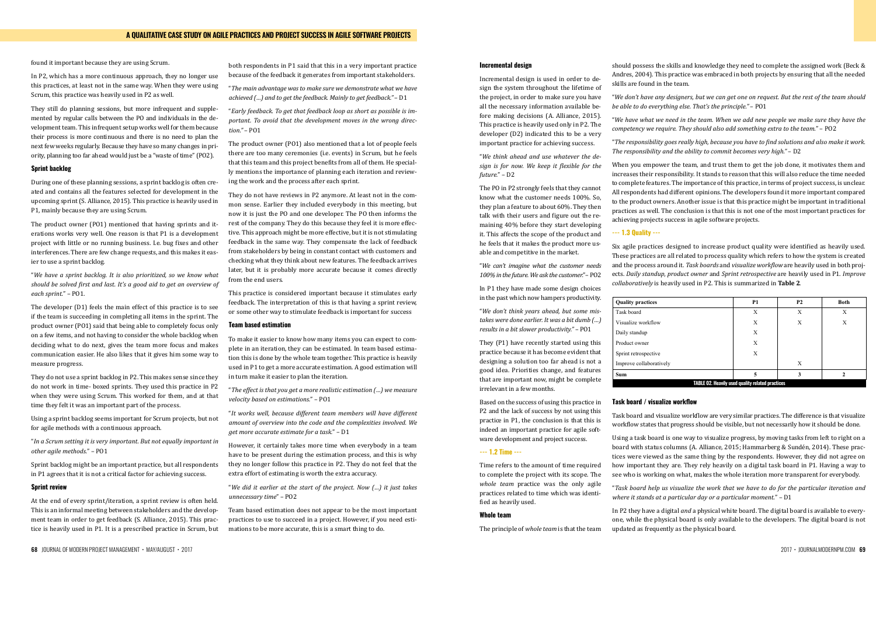68 JOURNAL OF MODERN PROJECT MANAGEMENT • MAY/AUGUST • 2017 2017 • JOURNALMODERNPM.COM 69

### **A QUALITATIVE CASE STUDY ON AGILE PRACTICES AND PROJECT SUCCESS IN AGILE SOFTWARE PROJECTS**

found it important because they are using Scrum.

In P2, which has a more continuous approach, they no longer use this practices, at least not in the same way. When they were using Scrum, this practice was heavily used in P2 as well.

They still do planning sessions, but more infrequent and supplemented by regular calls between the PO and individuals in the development team. This infrequent setup works well for them because their process is more continuous and there is no need to plan the next few weeks regularly. Because they have so many changes in priority, planning too far ahead would just be a "waste of time" (PO2).

### **Sprint backlog**

During one of these planning sessions, a sprint backlog is often created and contains all the features selected for development in the upcoming sprint (S. Alliance, 2015). This practice is heavily used in P1, mainly because they are using Scrum.

The product owner (PO1) mentioned that having sprints and iterations works very well. One reason is that P1 is a development project with little or no running business. I.e. bug fixes and other interferences. There are few change requests, and this makes it easier to use a sprint backlog.

"*We have a sprint backlog. It is also prioritized, so we know what should be solved first and last. It's a good aid to get an overview of each sprint.*" – PO1.

The developer (D1) feels the main effect of this practice is to see if the team is succeeding in completing all items in the sprint. The product owner (PO1) said that being able to completely focus only on a few items, and not having to consider the whole backlog when deciding what to do next, gives the team more focus and makes communication easier. He also likes that it gives him some way to measure progress.

They do not use a sprint backlog in P2. This makes sense since they do not work in time- boxed sprints. They used this practice in P2 when they were using Scrum. This worked for them, and at that time they felt it was an important part of the process.

Using a sprint backlog seems important for Scrum projects, but not for agile methods with a continuous approach.

"*In a Scrum setting it is very important. But not equally important in other agile methods.*" – PO1

Sprint backlog might be an important practice, but all respondents in P1 agrees that it is not a critical factor for achieving success.

### **Sprint review**

At the end of every sprint/iteration, a sprint review is often held. This is an informal meeting between stakeholders and the development team in order to get feedback (S. Alliance, 2015). This practice is heavily used in P1. It is a prescribed practice in Scrum, but both respondents in P1 said that this in a very important practice because of the feedback it generates from important stakeholders.

"*The main advantage was to make sure we demonstrate what we have achieved (…) and to get the feedback. Mainly to get feedback."* – D1

"*Early feedback. To get that feedback loop as short as possible is important. To avoid that the development moves in the wrong direction."* – PO1

The product owner (PO1) also mentioned that a lot of people feels there are too many ceremonies (i.e. events) in Scrum, but he feels that this team and this project benefits from all of them. He specially mentions the importance of planning each iteration and reviewing the work and the process after each sprint.

They do not have reviews in P2 anymore. At least not in the common sense. Earlier they included everybody in this meeting, but now it is just the PO and one developer. The PO then informs the rest of the company. They do this because they feel it is more effective. This approach might be more effective, but it is not stimulating feedback in the same way. They compensate the lack of feedback from stakeholders by being in constant contact with customers and checking what they think about new features. The feedback arrives later, but it is probably more accurate because it comes directly from the end users.

When you empower the team, and trust them to get the job done, it motivates them and increases their responsibility. It stands to reason that this will also reduce the time needed to complete features. The importance of this practice, in terms of project success, is unclear. All respondents had different opinions. The developers found it more important compared to the product owners. Another issue is that this practice might be important in traditional practices as well. The conclusion is that this is not one of the most important practices for achieving projects success in agile software projects.

## **--- 1.3 Quality ---**

This practice is considered important because it stimulates early feedback. The interpretation of this is that having a sprint review, or some other way to stimulate feedback is important for success

### **Team based estimation**

To make it easier to know how many items you can expect to complete in an iteration, they can be estimated. In team based estimation this is done by the whole team together. This practice is heavily used in P1 to get a more accurate estimation. A good estimation will in turn make it easier to plan the iteration.

"*The effect is that you get a more realistic estimation (…) we measure velocity based on estimations.*" – PO1

"*It works well, because different team members will have different amount of overview into the code and the complexities involved. We get more accurate estimate for a task.*" – D1

Six agile practices designed to increase product quality were identified as heavily used. These practices are all related to process quality which refers to how the system is created and the process around it. Task boards and visualize workflow are heavily used in both projects. Daily standup, product owner and Sprint retrospective are heavily used in P1. Improve *collaboratively* is heavily used in P2. This is summarized in **Table 2**. *collaboratively* is heavily used in P2. This is summarized in Table 2.

# $\mathbf{Quality}$  practices Visualize workflow Daily standup

However, it certainly takes more time when everybody in a team have to be present during the estimation process, and this is why they no longer follow this practice in P2. They do not feel that the extra effort of estimating is worth the extra accuracy.

"*We did it earlier at the start of the project. Now (…) it just takes unnecessary time*" – PO2

Team based estimation does not appear to be the most important practices to use to succeed in a project. However, if you need estimations to be more accurate, this is a smart thing to do.

"*Task board help us visualize the work that we have to do for the particular iteration and where it stands at a particular day or a particular moment.*" – D1 "*Task board help us visualize the work that we have to do for the particular iteration and*  where it stands at a particular day or a particular moment." – D1

### **Incremental design**

Incremental design is used in order to design the system throughout the lifetime of the project, in order to make sure you have all the necessary information available before making decisions (A. Alliance, 2015). This practice is heavily used only in P2. The developer (D2) indicated this to be a very important practice for achieving success.

"*We think ahead and use whatever the design is for now. We keep it flexible for the future.*" – D2

The PO in P2 strongly feels that they cannot know what the customer needs 100%. So, they plan a feature to about 60%. They then talk with their users and figure out the remaining 40% before they start developing it. This affects the scope of the product and he feels that it makes the product more usable and competitive in the market.

"*We can't imagine what the customer needs 100% in the future. We ask the customer.*"– PO2

> In P2 they have a digital *and* a physical white board. The digital board is available to everyone, while the physical board is only available to the developers. The digital board is not "*The best thing we are using is the physical white board. Details can be found in the*  updated as frequently as the physical board.

In P1 they have made some design choices in the past which now hampers productivity.

"*We don't think years ahead, but some mistakes were done earlier. It was a bit dumb (…) results in a bit slower productivity."* – PO1

They (P1) have recently started using this practice because it has become evident that designing a solution too far ahead is not a good idea. Priorities change, and features that are important now, might be complete irrelevant in a few months.

Based on the success of using this practice in P2 and the lack of success by not using this practice in P1, the conclusion is that this is indeed an important practice for agile software development and project success.

### **--- 1.2 Time ---**

Time refers to the amount of time required to complete the project with its scope. The *whole team* practice was the only agile practices related to time which was identified as heavily used.

### **Whole team**

The principle of *whole team* is that the team

should possess the skills and knowledge they need to complete the assigned work (Beck & Andres, 2004). This practice was embraced in both projects by ensuring that all the needed skills are found in the team.

"*We don't have any designers, but we can get one on request. But the rest of the team should be able to do everything else. That's the principle."* – PO1

"*We have what we need in the team. When we add new people we make sure they have the competency we require. They should also add something extra to the team.*" – PO2

"*The responsibility goes really high, because you have to find solutions and also make it work. The responsibility and the ability to commit becomes very high."* – D2

Table 2. Heavily used quality related practices

| <b>Quality practices</b>                                | P <sub>1</sub> | <b>P2</b> | <b>Both</b> |  |
|---------------------------------------------------------|----------------|-----------|-------------|--|
| Task board                                              | X              | X         | X           |  |
| Visualize workflow                                      | X              | Х         | X           |  |
| Daily standup                                           | X              |           |             |  |
| Product owner                                           | X              |           |             |  |
| Sprint retrospective                                    | X              |           |             |  |
| Improve collaboratively                                 |                | X         |             |  |
| Sum                                                     | 5              | 3         | 2           |  |
| <b>TABLE 02. Heavily used quality related practices</b> |                |           |             |  |

### **Task board / visualize workflow Task board / visualize workflow**

Task board and visualize workflow are very similar practices. The difference is that visualize Task board and visualize workflow are very similar practices. The difference is that visualize workflow states that progress should be visible, but not necessarily how it should be done. workflow states that progress should be visible, but not necessarily how it should be done.

Using a task board is one way to visualize progress, by moving tasks from left to right on a Using a task board is one way to visualize progress, by moving tasks from left to right on a board with status columns (A. Alliance, 2015; H.  $\alpha$  of  $\alpha$ , 2014). The set of  $\alpha$  is presented to  $\alpha$ board with status columns (A. Alliance, 2015; Hammarberg & Sunden, 2014). These practices were viewed as the same thing by the respondents. However, they did not agree on how important they are. They rely heavily on a digital task board in P1. Having a way to see who is working on what, makes the whole iteration more transparent for everybody.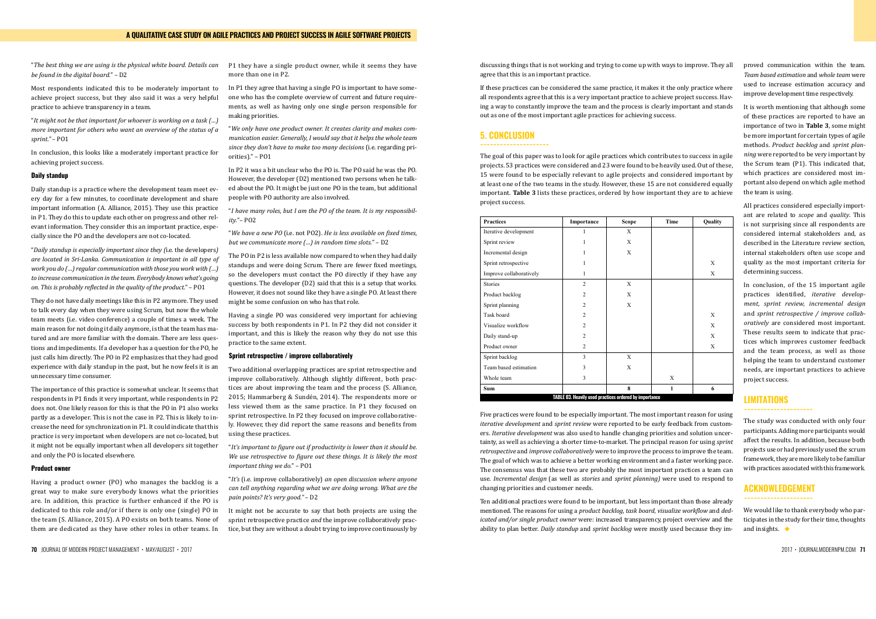70 JOURNAL OF MODERN PROJECT MANAGEMENT • MAY/AUGUST • 2017 2017 • JOURNALMODERNPM.COM 71

"*The best thing we are using is the physical white board. Details can be found in the digital board.*" – D2

Most respondents indicated this to be moderately important to achieve project success, but they also said it was a very helpful practice to achieve transparency in a team.

"*It might not be that important for whoever is working on a task (…) more important for others who want an overview of the status of a sprint."* – PO1

In conclusion, this looks like a moderately important practice for achieving project success.

### **Daily standup**

Daily standup is a practice where the development team meet every day for a few minutes, to coordinate development and share important information (A. Alliance, 2015). They use this practice in P1. They do this to update each other on progress and other relevant information. They consider this an important practice, especially since the PO and the developers are not co-located.

"*Daily standup is especially important since they (*i.e. the developers*) are located in Sri-Lanka. Communication is important in all type of work you do (…) regular communication with those you work with (…) to increase communication in the team. Everybody knows what's going on. This is probably reflected in the quality of the product.*" – PO1

They do not have daily meetings like this in P2 anymore. They used to talk every day when they were using Scrum, but now the whole team meets (i.e. video conference) a couple of times a week. The main reason for not doing it daily anymore, is that the team has matured and are more familiar with the domain. There are less questions and impediments. If a developer has a question for the PO, he just calls him directly. The PO in P2 emphasizes that they had good experience with daily standup in the past, but he now feels it is an unnecessary time consumer.

The importance of this practice is somewhat unclear. It seems that respondents in P1 finds it very important, while respondents in P2 does not. One likely reason for this is that the PO in P1 also works partly as a developer. This is not the case in P2. This is likely to increase the need for synchronization in P1. It could indicate that this practice is very important when developers are not co-located, but it might not be equally important when all developers sit together and only the PO is located elsewhere.

### **Product owner**

Having a product owner (PO) who manages the backlog is a great way to make sure everybody knows what the priorities are. In addition, this practice is further enhanced if the PO is dedicated to this role and/or if there is only one (single) PO in the team (S. Alliance, 2015). A PO exists on both teams. None of them are dedicated as they have other roles in other teams. In

P1 they have a single product owner, while it seems they have more than one in P2.

In P1 they agree that having a single PO is important to have someone who has the complete overview of current and future requirements, as well as having only one single person responsible for making priorities.

"*We only have one product owner. It creates clarity and makes communication easier. Generally, I would say that it helps the whole team since they don't have to make too many decisions* (i.e. regarding priorities)*.*" – PO1

In P2 it was a bit unclear who the PO is. The PO said he was the PO. However, the developer (D2) mentioned two persons when he talked about the PO. It might be just one PO in the team, but additional people with PO authority are also involved.

"*I have many roles, but I am the PO of the team. It is my responsibility.*"– PO2

"*We have a new PO* (i.e. not PO2). *He is less available on fixed times, but we communicate more (…) in random time slots.*" – D2

The PO in P2 is less available now compared to when they had daily standups and were doing Scrum. There are fewer fixed meetings, so the developers must contact the PO directly if they have any questions. The developer (D2) said that this is a setup that works. However, it does not sound like they have a single PO. At least there might be some confusion on who has that role.

Having a single PO was considered very important for achieving success by both respondents in P1. In P2 they did not consider it important, and this is likely the reason why they do not use this practice to the same extent.

### **Sprint retrospective / improve collaboratively**

We would like to thank everybody who participates in the study for their time, thoughts and insights.  $\bullet$ 

Two additional overlapping practices are sprint retrospective and improve collaboratively. Although slightly different, both practices are about improving the team and the process (S. Alliance, 2015; Hammarberg & Sundén, 2014). The respondents more or less viewed them as the same practice. In P1 they focused on sprint retrospective. In P2 they focused on improve collaboratively. However, they did report the same reasons and benefits from using these practices.

"*It's important to figure out if productivity is lower than it should be. We use retrospective to figure out these things. It is likely the most important thing we do.*" – PO1

"*It's* (i.e. improve collaboratively) *an open discussion where anyone can tell anything regarding what we are doing wrong. What are the pain points? It's very good."* – D2

It might not be accurate to say that both projects are using the sprint retrospective practice *and* the improve collaboratively practice, but they are without a doubt trying to improve continuously by Ten additional practices were found to be important, but less important than those already mentioned. The reasons for using a *product backlog, task board, visualize workflow* and *ded*ability to plan better. *Daily standup* and *sprint backlog* were mostly used because they im*icated and/or single product owner* were: increased transparency, project overview and the

| <b>Practices</b>                                       | Importance     | <b>Scope</b> | Time         | Quality |
|--------------------------------------------------------|----------------|--------------|--------------|---------|
| Iterative development                                  | 1              | X            |              |         |
| Sprint review                                          |                | X            |              |         |
| Incremental design                                     |                | X            |              |         |
| Sprint retrospective                                   |                |              |              | X       |
| Improve collaboratively                                | 1              |              |              | Χ       |
| <b>Stories</b>                                         | $\overline{c}$ | X            |              |         |
| Product backlog                                        | $\overline{2}$ | X            |              |         |
| Sprint planning                                        | $\overline{2}$ | X            |              |         |
| Task board                                             | $\overline{2}$ |              |              | X       |
| Visualize workflow                                     | $\overline{2}$ |              |              | X       |
| Daily stand-up                                         | $\overline{2}$ |              |              | X       |
| Product owner                                          | $\overline{c}$ |              |              | X       |
| Sprint backlog                                         | 3              | Χ            |              |         |
| Team based estimation                                  | 3              | X            |              |         |
| Whole team                                             | 3              |              | X            |         |
| Sum                                                    |                | 8            | $\mathbf{1}$ | 6       |
| TABLE 03. Heavily used practices ordered by importance |                |              |              |         |

proved communication within the team. *Team based estimation* and *whole team* were used to increase estimation accuracy and improve development time respectively.

It is worth mentioning that although some of these practices are reported to have an importance of two in **Table 3**, some might be more important for certain types of agile methods. *Product backlog* and *sprint planning* were reported to be very important by the Scrum team (P1). This indicated that, which practices are considered most important also depend on which agile method the team is using.

**4. Conclusion** The goal of this paper was to look for agile practices which contributes to success in agile 15 were found to be especially relevant to agile projects and considered important by at least one of the two teams in the study. However, these 15 are not considered equally important Table 3 lists these practices ordered by how important they are to achieve important. **Table 3** lists these practices, ordered by how important they are to achieve<br>project success.  $\frac{1}{2}$  lists these project success. projects. 53 practices were considered and 23 were found to be heavily used. Out of these, project success.

All practices considered especially important are related to *scope* and *quality*. This is not surprising since all respondents are considered internal stakeholders and, as described in the Literature review section, internal stakeholders often use scope and quality as the most important criteria for determining success.

In conclusion, of the 15 important agile practices identified, *iterative development, sprint review, incremental design*  and *sprint retrospective / improve collaboratively* are considered most important. These results seem to indicate that practices which improves customer feedback and the team process, as well as those helping the team to understand customer needs, are important practices to achieve project success.

Five practices were found to be especially important. The most important reason for using Five practices were found to be especially important. The most important reason for using *iterative development* and *sprint review* were reported to be early feedback from customers. ers. *Iterative development* was also used to handle changing priorities and solution uncertainty, as well as achieving a shorter time-to-market. The principal reason for using *sprint retrospective and improve collaboratively* were to improve the process to improve the team. and *goal* of which was to achieve a better working environment and a faster working packuse. Incremental design (as well as *stories* and *sprint planning)* were used to respond to changing priorities and customer needs. *iterative development* and *sprint review* were reported to be early feedback from custom-The goal of which was to achieve a better working environment and a faster working pace. The consensus was that these two are probably the most important practices a team can

### **LIMITATIONS**

**---------------------**

The study was conducted with only four participants. Adding more participants would affect the results. In addition, because both projects use or had previously used the scrum framework, they are more likely to be familiar with practices associated with this framework.

### **ACKNOWLEDGEMENT ---------------------**

discussing things that is not working and trying to come up with ways to improve. They all agree that this is an important practice.

If these practices can be considered the same practice, it makes it the only practice where all respondents agree that this is a very important practice to achieve project success. Having a way to constantly improve the team and the process is clearly important and stands out as one of the most important agile practices for achieving success.

### **5. CONCLUSION**

### **---------------------**